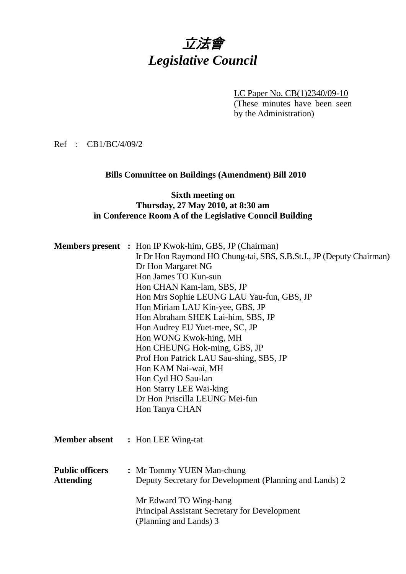# 立法會 *Legislative Council*

LC Paper No. CB(1)2340/09-10

(These minutes have been seen by the Administration)

Ref : CB1/BC/4/09/2

### **Bills Committee on Buildings (Amendment) Bill 2010**

### **Sixth meeting on Thursday, 27 May 2010, at 8:30 am in Conference Room A of the Legislative Council Building**

|                        | <b>Members present</b> : Hon IP Kwok-him, GBS, JP (Chairman)         |
|------------------------|----------------------------------------------------------------------|
|                        | Ir Dr Hon Raymond HO Chung-tai, SBS, S.B.St.J., JP (Deputy Chairman) |
|                        | Dr Hon Margaret NG                                                   |
|                        | Hon James TO Kun-sun                                                 |
|                        | Hon CHAN Kam-lam, SBS, JP                                            |
|                        | Hon Mrs Sophie LEUNG LAU Yau-fun, GBS, JP                            |
|                        | Hon Miriam LAU Kin-yee, GBS, JP                                      |
|                        | Hon Abraham SHEK Lai-him, SBS, JP                                    |
|                        | Hon Audrey EU Yuet-mee, SC, JP                                       |
|                        | Hon WONG Kwok-hing, MH                                               |
|                        | Hon CHEUNG Hok-ming, GBS, JP                                         |
|                        | Prof Hon Patrick LAU Sau-shing, SBS, JP                              |
|                        | Hon KAM Nai-wai, MH                                                  |
|                        | Hon Cyd HO Sau-lan                                                   |
|                        | Hon Starry LEE Wai-king                                              |
|                        | Dr Hon Priscilla LEUNG Mei-fun                                       |
|                        | Hon Tanya CHAN                                                       |
|                        |                                                                      |
|                        |                                                                      |
| <b>Member absent</b>   | : Hon LEE Wing-tat                                                   |
|                        |                                                                      |
|                        |                                                                      |
| <b>Public officers</b> | : Mr Tommy YUEN Man-chung                                            |
| <b>Attending</b>       | Deputy Secretary for Development (Planning and Lands) 2              |
|                        |                                                                      |
|                        | Mr Edward TO Wing-hang                                               |
|                        | <b>Principal Assistant Secretary for Development</b>                 |
|                        | (Planning and Lands) 3                                               |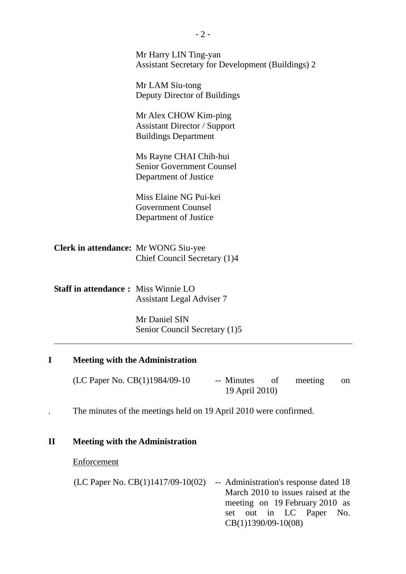|                                             | Mr Harry LIN Ting-yan<br><b>Assistant Secretary for Development (Buildings) 2</b>           |
|---------------------------------------------|---------------------------------------------------------------------------------------------|
|                                             | Mr LAM Siu-tong<br>Deputy Director of Buildings                                             |
|                                             | Mr Alex CHOW Kim-ping<br><b>Assistant Director / Support</b><br><b>Buildings Department</b> |
|                                             | Ms Rayne CHAI Chih-hui<br><b>Senior Government Counsel</b><br>Department of Justice         |
|                                             | Miss Elaine NG Pui-kei<br><b>Government Counsel</b><br>Department of Justice                |
| <b>Clerk in attendance:</b> Mr WONG Siu-yee | Chief Council Secretary (1)4                                                                |
| <b>Staff in attendance: Miss Winnie LO</b>  | <b>Assistant Legal Adviser 7</b>                                                            |
|                                             | Mr Daniel SIN                                                                               |

## **I Meeting with the Administration**

| (LC Paper No. CB(1)1984/09-10 | -- Minutes     | meeting | on |
|-------------------------------|----------------|---------|----|
|                               | 19 April 2010) |         |    |

. The minutes of the meetings held on 19 April 2010 were confirmed.

Senior Council Secretary (1)5

## **II Meeting with the Administration**

### **Enforcement**

l

| (LC Paper No. $CB(1)1417/09-10(02)$ | -- Administration's response dated 18 |
|-------------------------------------|---------------------------------------|
|                                     | March 2010 to issues raised at the    |
|                                     | meeting on 19 February 2010 as        |
|                                     | set out in LC Paper No.               |
|                                     | $CB(1)1390/09-10(08)$                 |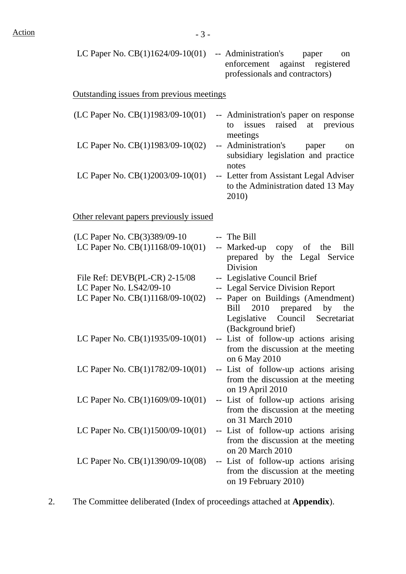| LC Paper No. $CB(1)1624/09-10(01)$                                                             | -- Administration's<br>paper<br>on<br>enforcement against registered<br>professionals and contractors)                                                                                  |
|------------------------------------------------------------------------------------------------|-----------------------------------------------------------------------------------------------------------------------------------------------------------------------------------------|
| <b>Outstanding issues from previous meetings</b>                                               |                                                                                                                                                                                         |
| (LC Paper No. CB(1)1983/09-10(01)                                                              | -- Administration's paper on response<br>issues raised at previous<br>to                                                                                                                |
| LC Paper No. CB(1)1983/09-10(02)                                                               | meetings<br>-- Administration's<br>paper<br>on<br>subsidiary legislation and practice<br>notes                                                                                          |
| LC Paper No. $CB(1)2003/09-10(01)$                                                             | -- Letter from Assistant Legal Adviser<br>to the Administration dated 13 May<br>2010)                                                                                                   |
| Other relevant papers previously issued                                                        |                                                                                                                                                                                         |
| (LC Paper No. CB(3)389/09-10<br>LC Paper No. CB(1)1168/09-10(01)                               | -- The Bill<br>-- Marked-up copy of the<br>Bill<br>prepared by the Legal Service                                                                                                        |
| File Ref: $DEVB(PL-CR)$ 2-15/08<br>LC Paper No. LS42/09-10<br>LC Paper No. CB(1)1168/09-10(02) | Division<br>-- Legislative Council Brief<br>-- Legal Service Division Report<br>-- Paper on Buildings (Amendment)<br>2010 prepared by<br>Bill<br>the<br>Legislative Council Secretariat |
| LC Paper No. $CB(1)1935/09-10(01)$                                                             | (Background brief)<br>-- List of follow-up actions arising<br>from the discussion at the meeting<br>on 6 May 2010                                                                       |
| LC Paper No. $CB(1)1782/09-10(01)$                                                             | -- List of follow-up actions arising<br>from the discussion at the meeting<br>on 19 April 2010                                                                                          |
| LC Paper No. $CB(1)1609/09-10(01)$                                                             | -- List of follow-up actions arising<br>from the discussion at the meeting<br>on 31 March 2010                                                                                          |
| LC Paper No. $CB(1)1500/09-10(01)$                                                             | -- List of follow-up actions arising<br>from the discussion at the meeting<br>on 20 March 2010                                                                                          |
| LC Paper No. $CB(1)1390/09-10(08)$                                                             | -- List of follow-up actions arising<br>from the discussion at the meeting<br>on 19 February 2010)                                                                                      |

2. The Committee deliberated (Index of proceedings attached at **Appendix**).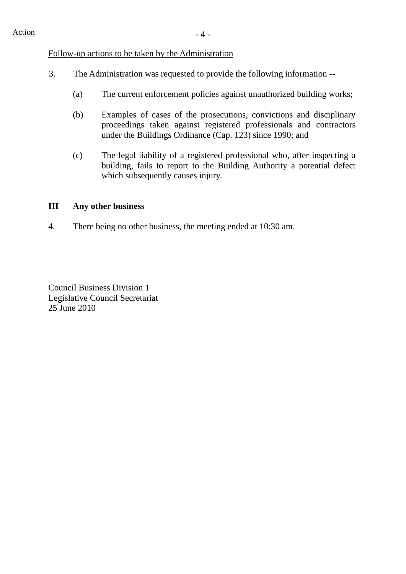#### Follow-up actions to be taken by the Administration

- 3. The Administration was requested to provide the following information --
	- (a) The current enforcement policies against unauthorized building works;
	- (b) Examples of cases of the prosecutions, convictions and disciplinary proceedings taken against registered professionals and contractors under the Buildings Ordinance (Cap. 123) since 1990; and
	- (c) The legal liability of a registered professional who, after inspecting a building, fails to report to the Building Authority a potential defect which subsequently causes injury.

### **III Any other business**

4. There being no other business, the meeting ended at 10:30 am.

Council Business Division 1 Legislative Council Secretariat 25 June 2010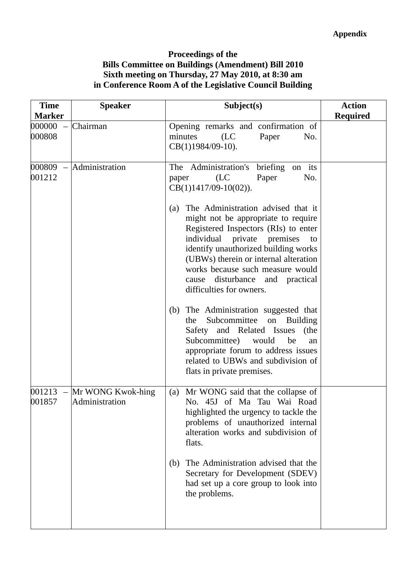### **Proceedings of the Bills Committee on Buildings (Amendment) Bill 2010 Sixth meeting on Thursday, 27 May 2010, at 8:30 am in Conference Room A of the Legislative Council Building**

| <b>Time</b><br><b>Marker</b> | <b>Speaker</b>                                 | Subject(s)                                                                                                                                                                                                                                                                                                                                                                                                                                                                                                                                                                                                                          | <b>Action</b><br><b>Required</b> |
|------------------------------|------------------------------------------------|-------------------------------------------------------------------------------------------------------------------------------------------------------------------------------------------------------------------------------------------------------------------------------------------------------------------------------------------------------------------------------------------------------------------------------------------------------------------------------------------------------------------------------------------------------------------------------------------------------------------------------------|----------------------------------|
| 000000<br>000808             | Chairman                                       | Opening remarks and confirmation of<br>minutes<br>(LC)<br>Paper<br>No.<br>CB(1)1984/09-10).                                                                                                                                                                                                                                                                                                                                                                                                                                                                                                                                         |                                  |
| 001212                       | $000809$ - Administration                      | The Administration's<br>briefing on its<br>(LC)<br>Paper<br>No.<br>paper<br>$CB(1)1417/09-10(02)).$                                                                                                                                                                                                                                                                                                                                                                                                                                                                                                                                 |                                  |
|                              |                                                | The Administration advised that it<br>(a)<br>might not be appropriate to require<br>Registered Inspectors (RIs) to enter<br>individual private premises<br>to<br>identify unauthorized building works<br>(UBWs) therein or internal alteration<br>works because such measure would<br>cause disturbance and practical<br>difficulties for owners.<br>The Administration suggested that<br>(b)<br>Subcommittee<br><b>Building</b><br>the<br>on<br>Safety and Related Issues<br>(the<br>Subcommittee)<br>would<br>be<br>an<br>appropriate forum to address issues<br>related to UBWs and subdivision of<br>flats in private premises. |                                  |
| 001857                       | $001213$ – Mr WONG Kwok-hing<br>Administration | Mr WONG said that the collapse of<br>(a)<br>No. 45J of Ma Tau Wai Road<br>highlighted the urgency to tackle the<br>problems of unauthorized internal<br>alteration works and subdivision of<br>flats.                                                                                                                                                                                                                                                                                                                                                                                                                               |                                  |
|                              |                                                | The Administration advised that the<br>(b)<br>Secretary for Development (SDEV)<br>had set up a core group to look into<br>the problems.                                                                                                                                                                                                                                                                                                                                                                                                                                                                                             |                                  |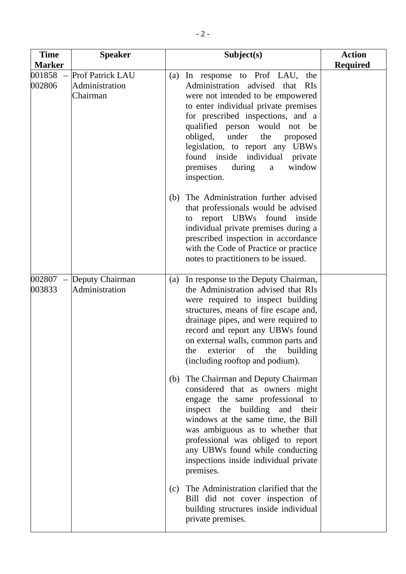| <b>Time</b>                                  | <b>Speaker</b>                                 | Subject(s)                                                                                                                                                                                                                                                                                                                                                                                         | <b>Action</b>   |
|----------------------------------------------|------------------------------------------------|----------------------------------------------------------------------------------------------------------------------------------------------------------------------------------------------------------------------------------------------------------------------------------------------------------------------------------------------------------------------------------------------------|-----------------|
| <b>Marker</b>                                |                                                |                                                                                                                                                                                                                                                                                                                                                                                                    | <b>Required</b> |
| 001858<br>$\overline{\phantom{0}}$<br>002806 | Prof Patrick LAU<br>Administration<br>Chairman | (a) In response to Prof LAU, the<br>Administration advised that<br><b>RIS</b><br>were not intended to be empowered<br>to enter individual private premises<br>for prescribed inspections, and a<br>qualified person would not be<br>under<br>obliged,<br>the<br>proposed<br>legislation, to report any UBWs<br>found inside individual private<br>window<br>premises<br>during<br>a<br>inspection. |                 |
|                                              |                                                | The Administration further advised<br>(b)<br>that professionals would be advised<br>to report UBWs found inside<br>individual private premises during a<br>prescribed inspection in accordance<br>with the Code of Practice or practice<br>notes to practitioners to be issued.                                                                                                                    |                 |
| 002807<br>003833                             | Deputy Chairman<br>Administration              | In response to the Deputy Chairman,<br>(a)<br>the Administration advised that RIs<br>were required to inspect building<br>structures, means of fire escape and,<br>drainage pipes, and were required to<br>record and report any UBWs found<br>on external walls, common parts and<br>of<br>building<br>the<br>the<br>exterior<br>(including rooftop and podium).                                  |                 |
|                                              |                                                | The Chairman and Deputy Chairman<br>(b)<br>considered that as owners might<br>engage the same professional to<br>inspect the building and their<br>windows at the same time, the Bill<br>was ambiguous as to whether that<br>professional was obliged to report<br>any UBWs found while conducting<br>inspections inside individual private<br>premises.                                           |                 |
|                                              |                                                | The Administration clarified that the<br>(c)<br>Bill did not cover inspection of<br>building structures inside individual<br>private premises.                                                                                                                                                                                                                                                     |                 |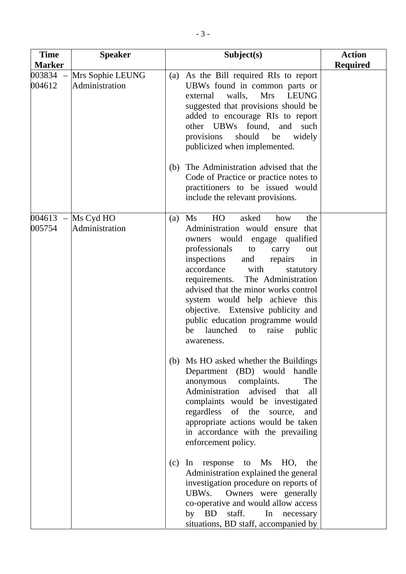| <b>Time</b>          | <b>Speaker</b>                     | Subject(s)                                                                                                                                                                                                                                                                                                                                                                                                                                                                       | <b>Action</b>   |
|----------------------|------------------------------------|----------------------------------------------------------------------------------------------------------------------------------------------------------------------------------------------------------------------------------------------------------------------------------------------------------------------------------------------------------------------------------------------------------------------------------------------------------------------------------|-----------------|
| <b>Marker</b>        |                                    |                                                                                                                                                                                                                                                                                                                                                                                                                                                                                  | <b>Required</b> |
| 003834<br>004612     | Mrs Sophie LEUNG<br>Administration | (a) As the Bill required RIs to report<br>UBWs found in common parts or<br>walls, Mrs<br><b>LEUNG</b><br>external<br>suggested that provisions should be<br>added to encourage RIs to report<br>other UBWs found,<br>and<br>such<br>provisions<br>should<br>be<br>widely<br>publicized when implemented.                                                                                                                                                                         |                 |
|                      |                                    | The Administration advised that the<br>(b)<br>Code of Practice or practice notes to<br>practitioners to be issued would<br>include the relevant provisions.                                                                                                                                                                                                                                                                                                                      |                 |
| $004613 -$<br>005754 | Ms Cyd HO<br>Administration        | HO<br>asked<br>Ms<br>how<br>the<br>(a)<br>Administration would ensure that<br>owners would engage qualified<br>professionals<br>carry<br>to<br>out<br>inspections<br>and<br>in<br>repairs<br>accordance<br>with<br>statutory<br>The Administration<br>requirements.<br>advised that the minor works control<br>system would help achieve this<br>objective. Extensive publicity and<br>public education programme would<br>launched<br>to<br>raise<br>public<br>be<br>awareness. |                 |
|                      |                                    | (b) Ms HO asked whether the Buildings<br>Department (BD) would<br>handle<br>complaints.<br>The<br>anonymous<br>Administration<br>advised<br>that<br>all<br>complaints would be investigated<br>regardless<br>of the source,<br>and<br>appropriate actions would be taken<br>in accordance with the prevailing<br>enforcement policy.                                                                                                                                             |                 |
|                      |                                    | to Ms HO,<br>response<br>(c)<br>In<br>the<br>Administration explained the general<br>investigation procedure on reports of<br>Owners were generally<br>UBWs.<br>co-operative and would allow access<br>by BD<br>staff.<br>In necessary<br>situations, BD staff, accompanied by                                                                                                                                                                                                   |                 |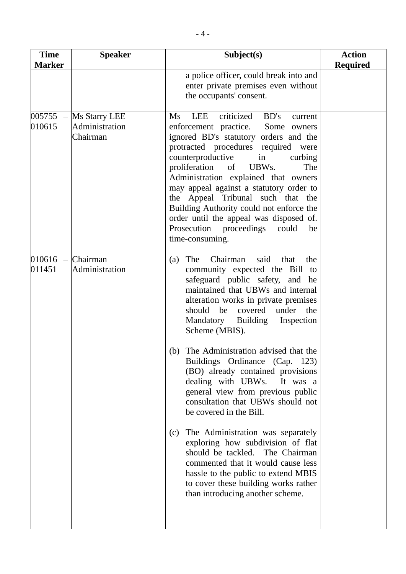| <b>Time</b><br><b>Marker</b>  | <b>Speaker</b>                              | Subject(s)                                                                                                                                                                                                                                                                                                                                                                                                                                                                                                                                         | <b>Action</b><br><b>Required</b> |
|-------------------------------|---------------------------------------------|----------------------------------------------------------------------------------------------------------------------------------------------------------------------------------------------------------------------------------------------------------------------------------------------------------------------------------------------------------------------------------------------------------------------------------------------------------------------------------------------------------------------------------------------------|----------------------------------|
|                               |                                             | a police officer, could break into and<br>enter private premises even without<br>the occupants' consent.                                                                                                                                                                                                                                                                                                                                                                                                                                           |                                  |
| $005755 -$<br>010615          | Ms Starry LEE<br>Administration<br>Chairman | criticized<br>BD's<br><b>LEE</b><br>Ms<br>current<br>enforcement practice.<br>Some<br>owners<br>ignored BD's statutory orders and the<br>protracted procedures required were<br>counterproductive<br>in<br>curbing<br>proliferation<br>The<br>of<br>UBW <sub>s</sub> .<br>Administration explained that owners<br>may appeal against a statutory order to<br>the Appeal Tribunal such that the<br>Building Authority could not enforce the<br>order until the appeal was disposed of.<br>Prosecution proceedings<br>could<br>be<br>time-consuming. |                                  |
| $010616$ – Chairman<br>011451 | Administration                              | Chairman<br>said<br>The<br>that<br>(a)<br>the<br>community expected the Bill to<br>safeguard public safety, and he<br>maintained that UBWs and internal<br>alteration works in private premises<br>should be<br>covered<br>under<br>the<br>Mandatory Building<br>Inspection<br>Scheme (MBIS).                                                                                                                                                                                                                                                      |                                  |
|                               |                                             | The Administration advised that the<br>(b)<br>Buildings Ordinance (Cap. 123)<br>(BO) already contained provisions<br>dealing with UBWs.<br>It was a<br>general view from previous public<br>consultation that UBWs should not<br>be covered in the Bill.                                                                                                                                                                                                                                                                                           |                                  |
|                               |                                             | The Administration was separately<br>(c)<br>exploring how subdivision of flat<br>should be tackled. The Chairman<br>commented that it would cause less<br>hassle to the public to extend MBIS<br>to cover these building works rather<br>than introducing another scheme.                                                                                                                                                                                                                                                                          |                                  |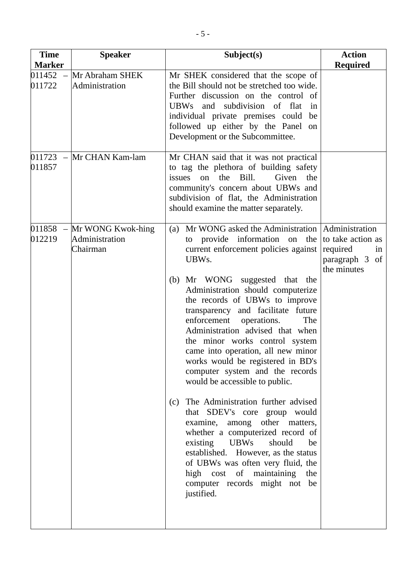| <b>Time</b><br><b>Marker</b> | <b>Speaker</b>                                  | Subject(s)                                                                                                                                                                                                                                                                                                                                                                                                                                                                                                                                                                                                                                                                                                                                                                                                                                                                                                                  | <b>Action</b>                                                            |
|------------------------------|-------------------------------------------------|-----------------------------------------------------------------------------------------------------------------------------------------------------------------------------------------------------------------------------------------------------------------------------------------------------------------------------------------------------------------------------------------------------------------------------------------------------------------------------------------------------------------------------------------------------------------------------------------------------------------------------------------------------------------------------------------------------------------------------------------------------------------------------------------------------------------------------------------------------------------------------------------------------------------------------|--------------------------------------------------------------------------|
| 011452<br>011722             | Mr Abraham SHEK<br>Administration               | Mr SHEK considered that the scope of<br>the Bill should not be stretched too wide.<br>Further discussion on the control of<br>subdivision of flat<br><b>UBWs</b><br>and<br>in<br>individual private premises could<br>be<br>followed up either by the Panel<br>on<br>Development or the Subcommittee.                                                                                                                                                                                                                                                                                                                                                                                                                                                                                                                                                                                                                       | <b>Required</b>                                                          |
| 011723<br>$\equiv$<br>011857 | Mr CHAN Kam-lam                                 | Mr CHAN said that it was not practical<br>to tag the plethora of building safety<br>on the Bill.<br>Given<br>issues<br>the<br>community's concern about UBWs and<br>subdivision of flat, the Administration<br>should examine the matter separately.                                                                                                                                                                                                                                                                                                                                                                                                                                                                                                                                                                                                                                                                        |                                                                          |
| 011858<br>$\equiv$<br>012219 | Mr WONG Kwok-hing<br>Administration<br>Chairman | Mr WONG asked the Administration   Administration<br>(a)<br>provide information on<br>to<br>current enforcement policies against<br>UBW <sub>s</sub> .<br>Mr WONG suggested that the<br>(b)<br>Administration should computerize<br>the records of UBWs to improve<br>transparency and facilitate future<br>enforcement operations.<br>The<br>Administration advised that when<br>the minor works control system<br>came into operation, all new minor<br>works would be registered in BD's<br>computer system and the records<br>would be accessible to public.<br>The Administration further advised<br>(c)<br>that SDEV's core group would<br>examine, among other matters,<br>whether a computerized record of<br>existing<br><b>UBWs</b><br>should<br>be<br>established. However, as the status<br>of UBWs was often very fluid, the<br>high cost of maintaining<br>the<br>computer records might not be<br>justified. | the to take action as<br>required<br>in<br>paragraph 3 of<br>the minutes |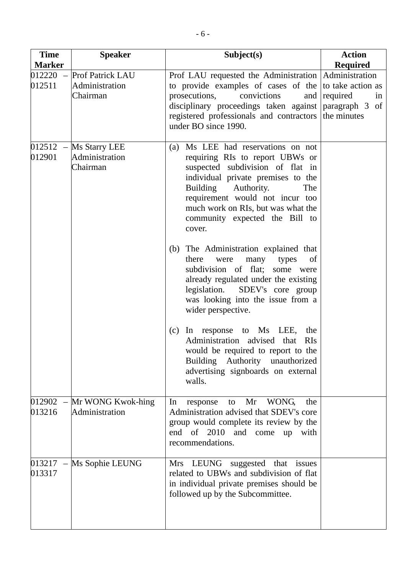| <b>Time</b>                                  | <b>Speaker</b>                                 | Subject(s)                                                                                                                                                                                                                                                                                               | <b>Action</b>      |
|----------------------------------------------|------------------------------------------------|----------------------------------------------------------------------------------------------------------------------------------------------------------------------------------------------------------------------------------------------------------------------------------------------------------|--------------------|
| <b>Marker</b>                                |                                                |                                                                                                                                                                                                                                                                                                          | <b>Required</b>    |
| 012220<br>$\equiv$<br>012511                 | Prof Patrick LAU<br>Administration<br>Chairman | Prof LAU requested the Administration Administration<br>to provide examples of cases of the to take action as<br>prosecutions,<br>convictions<br>disciplinary proceedings taken against paragraph 3 of<br>registered professionals and contractors the minutes<br>under BO since 1990.                   | and required<br>1n |
| $012512 -$<br>012901                         | Ms Starry LEE<br>Administration<br>Chairman    | Ms LEE had reservations on not<br>(a)<br>requiring RIs to report UBWs or<br>suspected subdivision of flat in<br>individual private premises to the<br>Authority.<br>Building<br>The<br>requirement would not incur too<br>much work on RIs, but was what the<br>community expected the Bill to<br>cover. |                    |
|                                              |                                                | (b) The Administration explained that<br>there<br>were<br>many<br>types<br>of<br>subdivision of flat;<br>some were<br>already regulated under the existing<br>legislation.<br>SDEV's core group<br>was looking into the issue from a<br>wider perspective.                                               |                    |
|                                              |                                                | In response to Ms LEE,<br>the<br>(c)<br>Administration advised that<br><b>RIs</b><br>would be required to report to the<br>Building Authority unauthorized<br>advertising signboards on external<br>walls.                                                                                               |                    |
| 012902<br>$\overline{\phantom{a}}$<br>013216 | Mr WONG Kwok-hing<br>Administration            | Mr<br>WONG,<br>In<br>response<br>to<br>the<br>Administration advised that SDEV's core<br>group would complete its review by the<br>end of 2010 and come up<br>with<br>recommendations.                                                                                                                   |                    |
| $013217 -$<br>013317                         | Ms Sophie LEUNG                                | Mrs LEUNG<br>suggested that<br>issues<br>related to UBWs and subdivision of flat<br>in individual private premises should be<br>followed up by the Subcommittee.                                                                                                                                         |                    |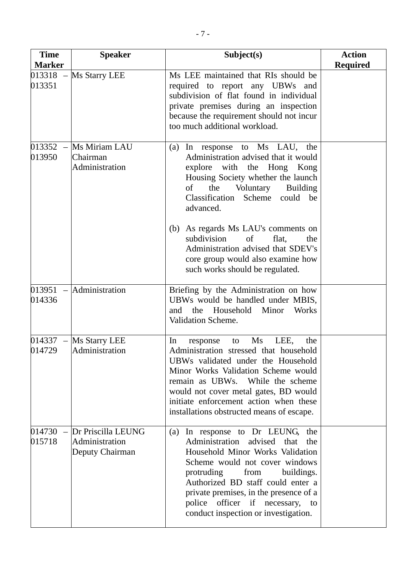| <b>Time</b>                           | <b>Speaker</b>                                          | Subject(s)                                                                                                                                                                                                                                                                                                                                                                                                                                | <b>Action</b>   |
|---------------------------------------|---------------------------------------------------------|-------------------------------------------------------------------------------------------------------------------------------------------------------------------------------------------------------------------------------------------------------------------------------------------------------------------------------------------------------------------------------------------------------------------------------------------|-----------------|
| <b>Marker</b><br>$013318 -$<br>013351 | Ms Starry LEE                                           | Ms LEE maintained that RIs should be<br>required to report any UBWs and<br>subdivision of flat found in individual<br>private premises during an inspection<br>because the requirement should not incur<br>too much additional workload.                                                                                                                                                                                                  | <b>Required</b> |
| $013352 -$<br>013950                  | Ms Miriam LAU<br>Chairman<br>Administration             | response to Ms LAU, the<br>(a)<br>In<br>Administration advised that it would<br>explore with the Hong Kong<br>Housing Society whether the launch<br>of<br>the<br>Voluntary<br><b>Building</b><br>Classification Scheme could be<br>advanced.<br>As regards Ms LAU's comments on<br>(b)<br>subdivision<br>of<br>flat,<br>the<br>Administration advised that SDEV's<br>core group would also examine how<br>such works should be regulated. |                 |
| 014336                                | $013951 -$ Administration                               | Briefing by the Administration on how<br>UBWs would be handled under MBIS,<br>the<br>Household<br>Minor<br>Works<br>and<br>Validation Scheme.                                                                                                                                                                                                                                                                                             |                 |
| $014337 -$<br>014729                  | Ms Starry LEE<br>Administration                         | $\overline{\text{Ms}}$<br>LEE,<br>In<br>the<br>response<br>to<br>Administration stressed that household<br>UBWs validated under the Household<br>Minor Works Validation Scheme would<br>remain as UBWs. While the scheme<br>would not cover metal gates, BD would<br>initiate enforcement action when these<br>installations obstructed means of escape.                                                                                  |                 |
| 014730<br>015718                      | Dr Priscilla LEUNG<br>Administration<br>Deputy Chairman | In response to Dr LEUNG, the<br>(a)<br>Administration advised<br>that<br>the<br>Household Minor Works Validation<br>Scheme would not cover windows<br>protruding<br>from<br>buildings.<br>Authorized BD staff could enter a<br>private premises, in the presence of a<br>police officer if necessary,<br>to<br>conduct inspection or investigation.                                                                                       |                 |